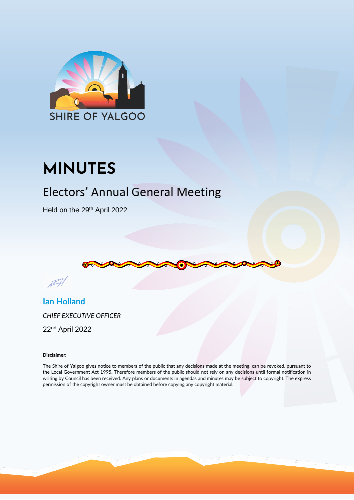<span id="page-0-0"></span>

# **MINUTES**

## Electors' Annual General Meeting

Held on the 29<sup>th</sup> April 2022





**Ian Holland** *CHIEF EXECUTIVE OFFICER*

22 nd April 2022

#### **Disclaimer:**

The Shire of Yalgoo gives notice to members of the public that any decisions made at the meeting, can be revoked, pursuant to the Local Government Act 1995. Therefore members of the public should not rely on any decisions until formal notification in writing by Council has been received. Any plans or documents in agendas and minutes may be subject to copyright. The express permission of the copyright owner must be obtained before copying any copyright material.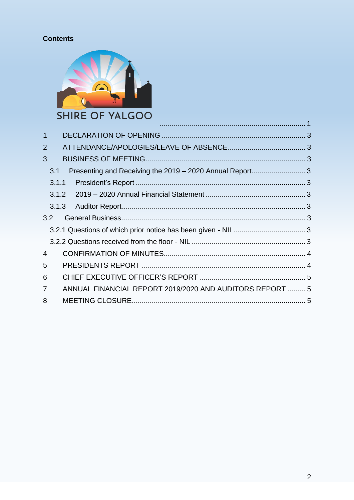### **Contents**



| $\overline{1}$ |       |                                                          |  |
|----------------|-------|----------------------------------------------------------|--|
| $\overline{2}$ |       |                                                          |  |
| 3              |       |                                                          |  |
| 3.1            |       | Presenting and Receiving the 2019 - 2020 Annual Report3  |  |
|                | 3.1.1 |                                                          |  |
|                |       |                                                          |  |
|                | 3.1.3 |                                                          |  |
| 3.2            |       |                                                          |  |
|                |       |                                                          |  |
|                |       |                                                          |  |
| $\overline{4}$ |       |                                                          |  |
| 5              |       |                                                          |  |
| 6              |       |                                                          |  |
| $\overline{7}$ |       | ANNUAL FINANCIAL REPORT 2019/2020 AND AUDITORS REPORT  5 |  |
| 8              |       |                                                          |  |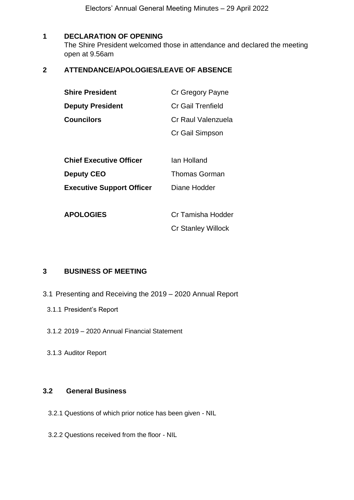Electors' Annual General Meeting Minutes – 29 April 2022

#### <span id="page-2-0"></span>**1 DECLARATION OF OPENING**

The Shire President welcomed those in attendance and declared the meeting open at 9.56am

#### <span id="page-2-1"></span>**2 ATTENDANCE/APOLOGIES/LEAVE OF ABSENCE**

| <b>Shire President</b>           | Cr Gregory Payne          |  |
|----------------------------------|---------------------------|--|
| <b>Deputy President</b>          | Cr Gail Trenfield         |  |
| <b>Councilors</b>                | Cr Raul Valenzuela        |  |
|                                  | Cr Gail Simpson           |  |
|                                  |                           |  |
| <b>Chief Executive Officer</b>   | lan Holland               |  |
| <b>Deputy CEO</b>                | <b>Thomas Gorman</b>      |  |
| <b>Executive Support Officer</b> | Diane Hodder              |  |
|                                  |                           |  |
| <b>APOLOGIES</b>                 | Cr Tamisha Hodder         |  |
|                                  | <b>Cr Stanley Willock</b> |  |

#### <span id="page-2-2"></span>**3 BUSINESS OF MEETING**

- <span id="page-2-5"></span><span id="page-2-4"></span><span id="page-2-3"></span>3.1 Presenting and Receiving the 2019 – 2020 Annual Report
	- 3.1.1 President's Report
	- 3.1.2 2019 2020 Annual Financial Statement
	- 3.1.3 Auditor Report

#### <span id="page-2-7"></span><span id="page-2-6"></span>**3.2 General Business**

- <span id="page-2-8"></span>3.2.1 Questions of which prior notice has been given - NIL
- <span id="page-2-9"></span>3.2.2 Questions received from the floor - NIL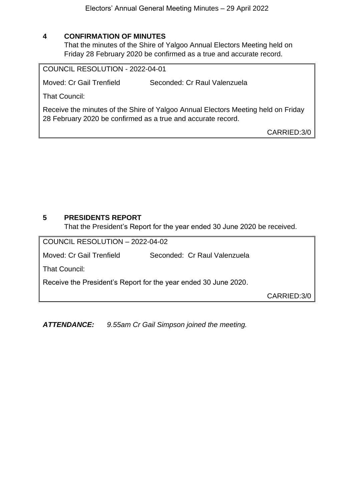#### <span id="page-3-0"></span>**4 CONFIRMATION OF MINUTES**

That the minutes of the Shire of Yalgoo Annual Electors Meeting held on Friday 28 February 2020 be confirmed as a true and accurate record.

COUNCIL RESOLUTION - 2022-04-01

Moved: Cr Gail Trenfield Seconded: Cr Raul Valenzuela

That Council:

Receive the minutes of the Shire of Yalgoo Annual Electors Meeting held on Friday 28 February 2020 be confirmed as a true and accurate record.

CARRIED:3/0

#### <span id="page-3-1"></span>**5 PRESIDENTS REPORT**

That the President's Report for the year ended 30 June 2020 be received.

| COUNCIL RESOLUTION - 2022-04-02                                 |                              |             |  |  |  |  |  |
|-----------------------------------------------------------------|------------------------------|-------------|--|--|--|--|--|
| Moved: Cr Gail Trenfield                                        | Seconded: Cr Raul Valenzuela |             |  |  |  |  |  |
| That Council:                                                   |                              |             |  |  |  |  |  |
| Receive the President's Report for the year ended 30 June 2020. |                              |             |  |  |  |  |  |
|                                                                 |                              | CARRIED:3/0 |  |  |  |  |  |

*ATTENDANCE: 9.55am Cr Gail Simpson joined the meeting.*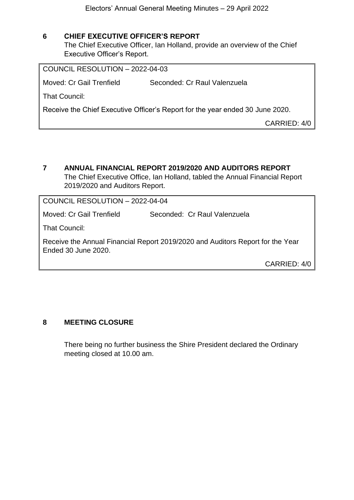#### <span id="page-4-0"></span>**6 CHIEF EXECUTIVE OFFICER'S REPORT**

The Chief Executive Officer, Ian Holland, provide an overview of the Chief Executive Officer's Report.

COUNCIL RESOLUTION – 2022-04-03 Moved: Cr Gail Trenfield Seconded: Cr Raul Valenzuela That Council: Receive the Chief Executive Officer's Report for the year ended 30 June 2020. CARRIED: 4/0

<span id="page-4-1"></span>**7 ANNUAL FINANCIAL REPORT 2019/2020 AND AUDITORS REPORT** The Chief Executive Office, Ian Holland, tabled the Annual Financial Report 2019/2020 and Auditors Report.

COUNCIL RESOLUTION – 2022-04-04

Moved: Cr Gail Trenfield Seconded: Cr Raul Valenzuela

That Council:

Receive the Annual Financial Report 2019/2020 and Auditors Report for the Year Ended 30 June 2020.

CARRIED: 4/0

#### <span id="page-4-2"></span>**8 MEETING CLOSURE**

There being no further business the Shire President declared the Ordinary meeting closed at 10.00 am.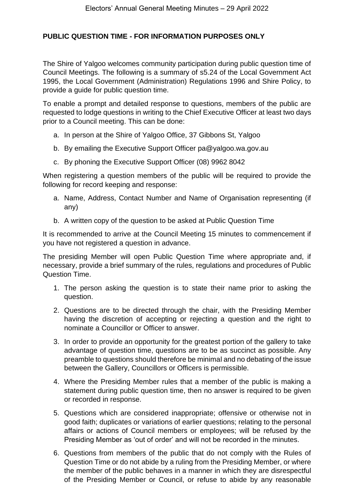#### **PUBLIC QUESTION TIME - FOR INFORMATION PURPOSES ONLY**

The Shire of Yalgoo welcomes community participation during public question time of Council Meetings. The following is a summary of s5.24 of the Local Government Act 1995, the Local Government (Administration) Regulations 1996 and Shire Policy, to provide a guide for public question time.

To enable a prompt and detailed response to questions, members of the public are requested to lodge questions in writing to the Chief Executive Officer at least two days prior to a Council meeting. This can be done:

- a. In person at the Shire of Yalgoo Office, 37 Gibbons St, Yalgoo
- b. By emailing the Executive Support Officer [pa@yalgoo.wa.gov.au](mailto:pa@yalgoo.wa.gov.au)
- c. By phoning the Executive Support Officer (08) 9962 8042

When registering a question members of the public will be required to provide the following for record keeping and response:

- a. Name, Address, Contact Number and Name of Organisation representing (if any)
- b. A written copy of the question to be asked at Public Question Time

It is recommended to arrive at the Council Meeting 15 minutes to commencement if you have not registered a question in advance.

The presiding Member will open Public Question Time where appropriate and, if necessary, provide a brief summary of the rules, regulations and procedures of Public Question Time.

- 1. The person asking the question is to state their name prior to asking the question.
- 2. Questions are to be directed through the chair, with the Presiding Member having the discretion of accepting or rejecting a question and the right to nominate a Councillor or Officer to answer.
- 3. In order to provide an opportunity for the greatest portion of the gallery to take advantage of question time, questions are to be as succinct as possible. Any preamble to questions should therefore be minimal and no debating of the issue between the Gallery, Councillors or Officers is permissible.
- 4. Where the Presiding Member rules that a member of the public is making a statement during public question time, then no answer is required to be given or recorded in response.
- 5. Questions which are considered inappropriate; offensive or otherwise not in good faith; duplicates or variations of earlier questions; relating to the personal affairs or actions of Council members or employees; will be refused by the Presiding Member as 'out of order' and will not be recorded in the minutes.
- 6. Questions from members of the public that do not comply with the Rules of Question Time or do not abide by a ruling from the Presiding Member, or where the member of the public behaves in a manner in which they are disrespectful of the Presiding Member or Council, or refuse to abide by any reasonable